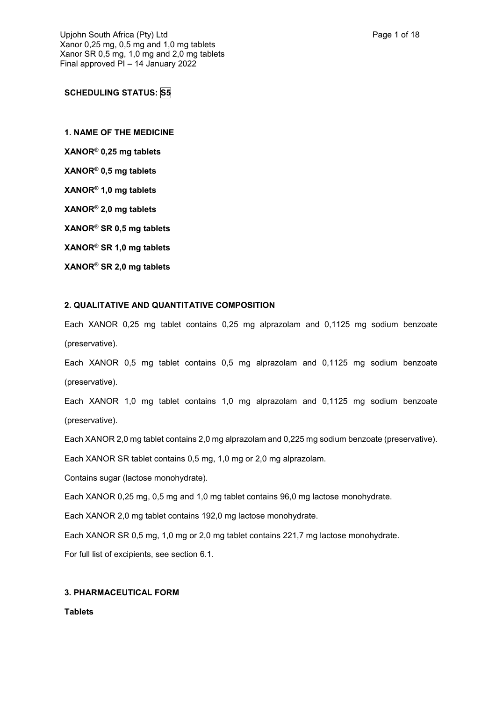**SCHEDULING STATUS: S5**

**1. NAME OF THE MEDICINE**

**XANOR® 0,25 mg tablets**

**XANOR® 0,5 mg tablets**

**XANOR® 1,0 mg tablets**

**XANOR® 2,0 mg tablets**

**XANOR® SR 0,5 mg tablets**

**XANOR® SR 1,0 mg tablets**

**XANOR® SR 2,0 mg tablets**

## **2. QUALITATIVE AND QUANTITATIVE COMPOSITION**

Each XANOR 0,25 mg tablet contains 0,25 mg alprazolam and 0,1125 mg sodium benzoate (preservative).

Each XANOR 0,5 mg tablet contains 0,5 mg alprazolam and 0,1125 mg sodium benzoate (preservative).

Each XANOR 1,0 mg tablet contains 1,0 mg alprazolam and 0,1125 mg sodium benzoate (preservative).

Each XANOR 2,0 mg tablet contains 2,0 mg alprazolam and 0,225 mg sodium benzoate (preservative).

Each XANOR SR tablet contains 0,5 mg, 1,0 mg or 2,0 mg alprazolam.

Contains sugar (lactose monohydrate).

Each XANOR 0,25 mg, 0,5 mg and 1,0 mg tablet contains 96,0 mg lactose monohydrate.

Each XANOR 2,0 mg tablet contains 192,0 mg lactose monohydrate.

Each XANOR SR 0,5 mg, 1,0 mg or 2,0 mg tablet contains 221,7 mg lactose monohydrate.

For full list of excipients, see section 6.1.

## **3. PHARMACEUTICAL FORM**

**Tablets**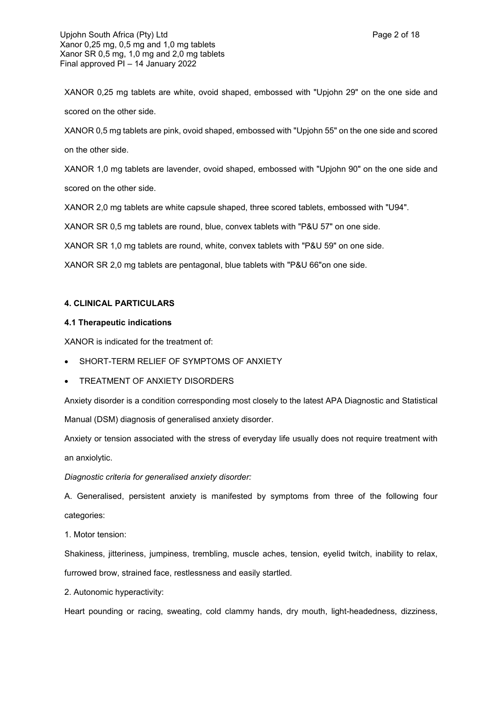XANOR 0,25 mg tablets are white, ovoid shaped, embossed with "Upjohn 29" on the one side and scored on the other side.

XANOR 0,5 mg tablets are pink, ovoid shaped, embossed with "Upjohn 55" on the one side and scored on the other side.

XANOR 1,0 mg tablets are lavender, ovoid shaped, embossed with "Upjohn 90" on the one side and scored on the other side.

XANOR 2,0 mg tablets are white capsule shaped, three scored tablets, embossed with "U94".

XANOR SR 0,5 mg tablets are round, blue, convex tablets with "P&U 57" on one side.

XANOR SR 1,0 mg tablets are round, white, convex tablets with "P&U 59" on one side.

XANOR SR 2,0 mg tablets are pentagonal, blue tablets with "P&U 66"on one side.

## **4. CLINICAL PARTICULARS**

### **4.1 Therapeutic indications**

XANOR is indicated for the treatment of:

- SHORT-TERM RELIEF OF SYMPTOMS OF ANXIETY
- TREATMENT OF ANXIETY DISORDERS

Anxiety disorder is a condition corresponding most closely to the latest APA Diagnostic and Statistical

Manual (DSM) diagnosis of generalised anxiety disorder.

Anxiety or tension associated with the stress of everyday life usually does not require treatment with an anxiolytic.

*Diagnostic criteria for generalised anxiety disorder:*

A. Generalised, persistent anxiety is manifested by symptoms from three of the following four categories:

1. Motor tension:

Shakiness, jitteriness, jumpiness, trembling, muscle aches, tension, eyelid twitch, inability to relax, furrowed brow, strained face, restlessness and easily startled.

2. Autonomic hyperactivity:

Heart pounding or racing, sweating, cold clammy hands, dry mouth, light-headedness, dizziness,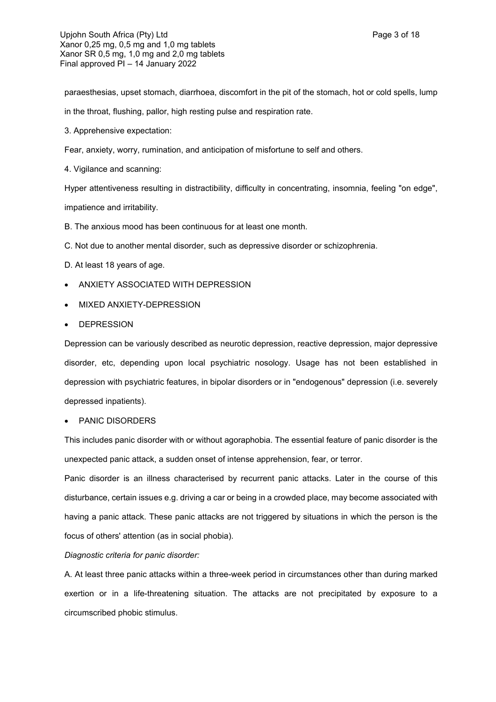paraesthesias, upset stomach, diarrhoea, discomfort in the pit of the stomach, hot or cold spells, lump in the throat, flushing, pallor, high resting pulse and respiration rate.

3. Apprehensive expectation:

Fear, anxiety, worry, rumination, and anticipation of misfortune to self and others.

4. Vigilance and scanning:

Hyper attentiveness resulting in distractibility, difficulty in concentrating, insomnia, feeling "on edge",

impatience and irritability.

- B. The anxious mood has been continuous for at least one month.
- C. Not due to another mental disorder, such as depressive disorder or schizophrenia.
- D. At least 18 years of age.
- ANXIETY ASSOCIATED WITH DEPRESSION
- MIXED ANXIETY-DEPRESSION
- **•** DEPRESSION

Depression can be variously described as neurotic depression, reactive depression, major depressive disorder, etc, depending upon local psychiatric nosology. Usage has not been established in depression with psychiatric features, in bipolar disorders or in "endogenous" depression (i.e. severely depressed inpatients).

#### • PANIC DISORDERS

This includes panic disorder with or without agoraphobia. The essential feature of panic disorder is the unexpected panic attack, a sudden onset of intense apprehension, fear, or terror.

Panic disorder is an illness characterised by recurrent panic attacks. Later in the course of this disturbance, certain issues e.g. driving a car or being in a crowded place, may become associated with having a panic attack. These panic attacks are not triggered by situations in which the person is the focus of others' attention (as in social phobia).

#### *Diagnostic criteria for panic disorder:*

A. At least three panic attacks within a three-week period in circumstances other than during marked exertion or in a life-threatening situation. The attacks are not precipitated by exposure to a circumscribed phobic stimulus.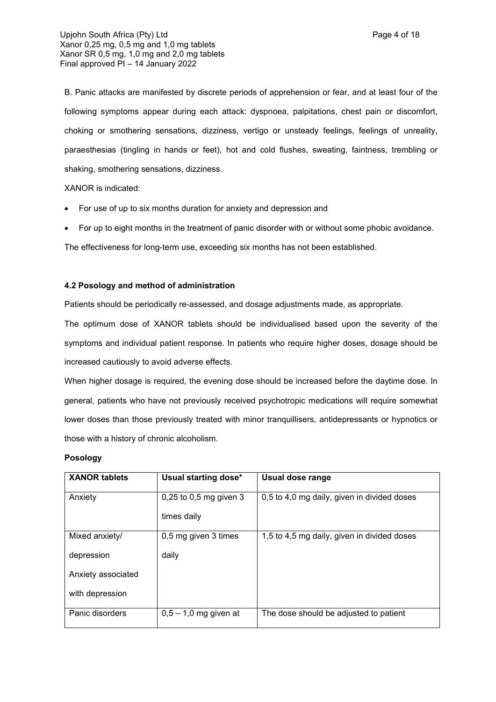B. Panic attacks are manifested by discrete periods of apprehension or fear, and at least four of the following symptoms appear during each attack: dyspnoea, palpitations, chest pain or discomfort, choking or smothering sensations, dizziness, vertigo or unsteady feelings, feelings of unreality, paraesthesias (tingling in hands or feet), hot and cold flushes, sweating, faintness, trembling or shaking, smothering sensations, dizziness.

XANOR is indicated:

- For use of up to six months duration for anxiety and depression and
- For up to eight months in the treatment of panic disorder with or without some phobic avoidance.

The effectiveness for long-term use, exceeding six months has not been established.

#### **4.2 Posology and method of administration**

Patients should be periodically re-assessed, and dosage adjustments made, as appropriate.

The optimum dose of XANOR tablets should be individualised based upon the severity of the symptoms and individual patient response. In patients who require higher doses, dosage should be increased cautiously to avoid adverse effects.

When higher dosage is required, the evening dose should be increased before the daytime dose. In general, patients who have not previously received psychotropic medications will require somewhat lower doses than those previously treated with minor tranquillisers, antidepressants or hypnotics or those with a history of chronic alcoholism.

#### **Posology**

| <b>XANOR tablets</b> | Usual starting dose*    | Usual dose range                            |
|----------------------|-------------------------|---------------------------------------------|
| Anxiety              | 0,25 to 0,5 mg given 3  | 0,5 to 4,0 mg daily, given in divided doses |
|                      | times daily             |                                             |
| Mixed anxiety/       | 0,5 mg given 3 times    | 1,5 to 4,5 mg daily, given in divided doses |
| depression           | daily                   |                                             |
| Anxiety associated   |                         |                                             |
| with depression      |                         |                                             |
| Panic disorders      | $0,5 - 1,0$ mg given at | The dose should be adjusted to patient      |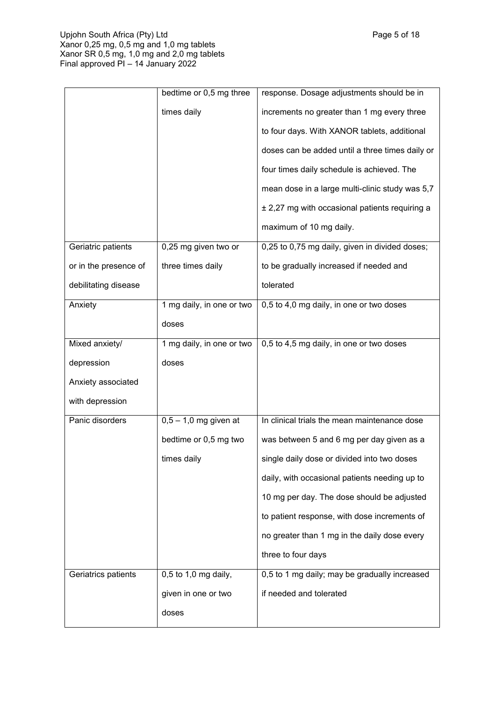|                       | bedtime or 0,5 mg three   | response. Dosage adjustments should be in       |
|-----------------------|---------------------------|-------------------------------------------------|
|                       | times daily               | increments no greater than 1 mg every three     |
|                       |                           | to four days. With XANOR tablets, additional    |
|                       |                           | doses can be added until a three times daily or |
|                       |                           | four times daily schedule is achieved. The      |
|                       |                           | mean dose in a large multi-clinic study was 5,7 |
|                       |                           | ± 2,27 mg with occasional patients requiring a  |
|                       |                           | maximum of 10 mg daily.                         |
| Geriatric patients    | 0,25 mg given two or      | 0,25 to 0,75 mg daily, given in divided doses;  |
| or in the presence of | three times daily         | to be gradually increased if needed and         |
| debilitating disease  |                           | tolerated                                       |
| Anxiety               | 1 mg daily, in one or two | 0,5 to 4,0 mg daily, in one or two doses        |
|                       | doses                     |                                                 |
| Mixed anxiety/        | 1 mg daily, in one or two | 0,5 to 4,5 mg daily, in one or two doses        |
| depression            | doses                     |                                                 |
| Anxiety associated    |                           |                                                 |
| with depression       |                           |                                                 |
| Panic disorders       | $0,5 - 1,0$ mg given at   | In clinical trials the mean maintenance dose    |
|                       | bedtime or 0,5 mg two     | was between 5 and 6 mg per day given as a       |
|                       | times daily               | single daily dose or divided into two doses     |
|                       |                           | daily, with occasional patients needing up to   |
|                       |                           | 10 mg per day. The dose should be adjusted      |
|                       |                           | to patient response, with dose increments of    |
|                       |                           | no greater than 1 mg in the daily dose every    |
|                       |                           | three to four days                              |
|                       |                           |                                                 |
| Geriatrics patients   | 0,5 to 1,0 mg daily,      | 0,5 to 1 mg daily; may be gradually increased   |
|                       | given in one or two       | if needed and tolerated                         |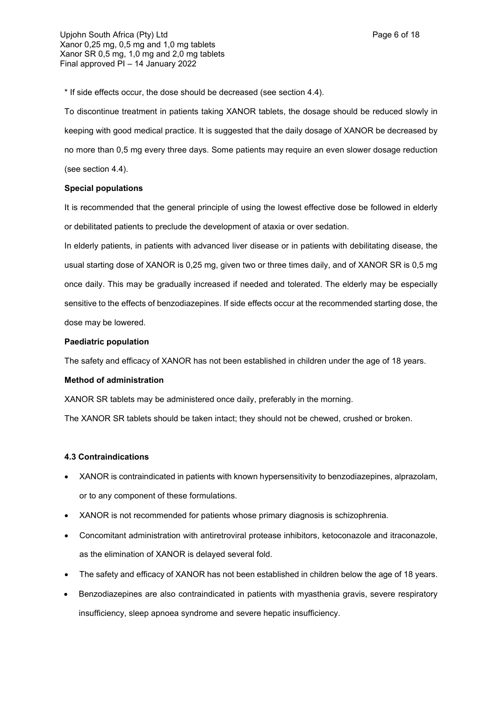Upjohn South Africa (Pty) Ltd **Page 6 of 18** Xanor 0,25 mg, 0,5 mg and 1,0 mg tablets Xanor SR 0,5 mg, 1,0 mg and 2,0 mg tablets Final approved PI – 14 January 2022

\* If side effects occur, the dose should be decreased (see section 4.4).

To discontinue treatment in patients taking XANOR tablets, the dosage should be reduced slowly in keeping with good medical practice. It is suggested that the daily dosage of XANOR be decreased by no more than 0,5 mg every three days. Some patients may require an even slower dosage reduction (see section 4.4).

## **Special populations**

It is recommended that the general principle of using the lowest effective dose be followed in elderly or debilitated patients to preclude the development of ataxia or over sedation.

In elderly patients, in patients with advanced liver disease or in patients with debilitating disease, the usual starting dose of XANOR is 0,25 mg, given two or three times daily, and of XANOR SR is 0,5 mg once daily. This may be gradually increased if needed and tolerated. The elderly may be especially sensitive to the effects of benzodiazepines. If side effects occur at the recommended starting dose, the dose may be lowered.

## **Paediatric population**

The safety and efficacy of XANOR has not been established in children under the age of 18 years.

## **Method of administration**

XANOR SR tablets may be administered once daily, preferably in the morning.

The XANOR SR tablets should be taken intact; they should not be chewed, crushed or broken.

## **4.3 Contraindications**

- XANOR is contraindicated in patients with known hypersensitivity to benzodiazepines, alprazolam, or to any component of these formulations.
- XANOR is not recommended for patients whose primary diagnosis is schizophrenia.
- Concomitant administration with antiretroviral protease inhibitors, ketoconazole and itraconazole, as the elimination of XANOR is delayed several fold.
- The safety and efficacy of XANOR has not been established in children below the age of 18 years.
- Benzodiazepines are also contraindicated in patients with myasthenia gravis, severe respiratory insufficiency, sleep apnoea syndrome and severe hepatic insufficiency.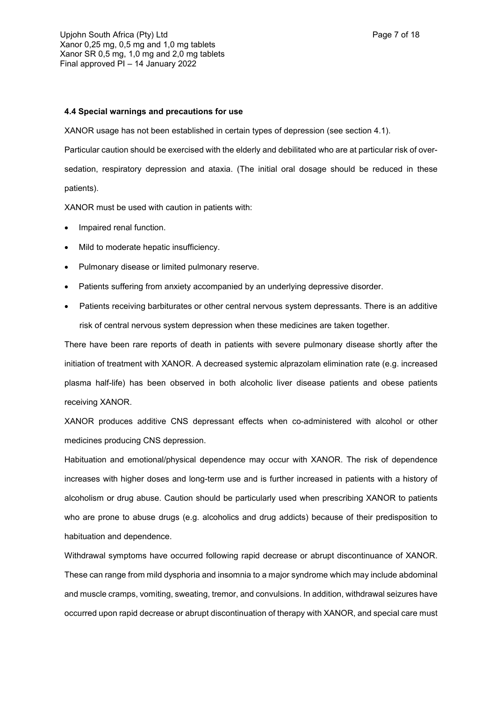#### **4.4 Special warnings and precautions for use**

XANOR usage has not been established in certain types of depression (see section 4.1).

Particular caution should be exercised with the elderly and debilitated who are at particular risk of oversedation, respiratory depression and ataxia. (The initial oral dosage should be reduced in these patients).

XANOR must be used with caution in patients with:

- Impaired renal function.
- Mild to moderate hepatic insufficiency.
- Pulmonary disease or limited pulmonary reserve.
- Patients suffering from anxiety accompanied by an underlying depressive disorder.
- Patients receiving barbiturates or other central nervous system depressants. There is an additive risk of central nervous system depression when these medicines are taken together.

There have been rare reports of death in patients with severe pulmonary disease shortly after the initiation of treatment with XANOR. A decreased systemic alprazolam elimination rate (e.g. increased plasma half-life) has been observed in both alcoholic liver disease patients and obese patients receiving XANOR.

XANOR produces additive CNS depressant effects when co-administered with alcohol or other medicines producing CNS depression.

Habituation and emotional/physical dependence may occur with XANOR. The risk of dependence increases with higher doses and long-term use and is further increased in patients with a history of alcoholism or drug abuse. Caution should be particularly used when prescribing XANOR to patients who are prone to abuse drugs (e.g. alcoholics and drug addicts) because of their predisposition to habituation and dependence.

Withdrawal symptoms have occurred following rapid decrease or abrupt discontinuance of XANOR. These can range from mild dysphoria and insomnia to a major syndrome which may include abdominal and muscle cramps, vomiting, sweating, tremor, and convulsions. In addition, withdrawal seizures have occurred upon rapid decrease or abrupt discontinuation of therapy with XANOR, and special care must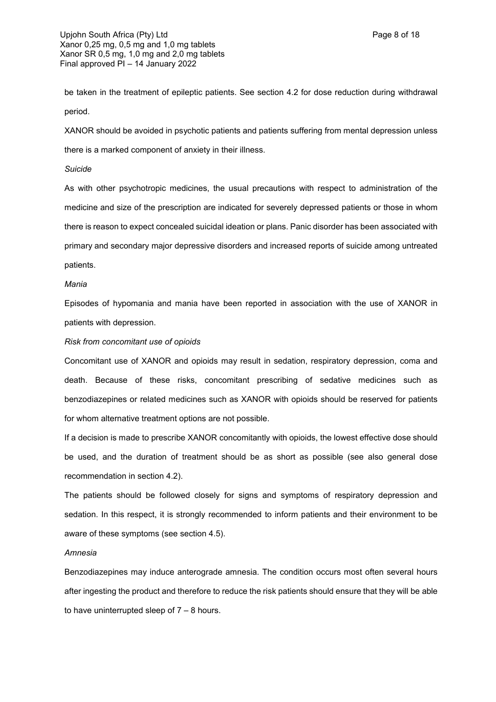be taken in the treatment of epileptic patients. See section 4.2 for dose reduction during withdrawal period.

XANOR should be avoided in psychotic patients and patients suffering from mental depression unless there is a marked component of anxiety in their illness.

#### *Suicide*

As with other psychotropic medicines, the usual precautions with respect to administration of the medicine and size of the prescription are indicated for severely depressed patients or those in whom there is reason to expect concealed suicidal ideation or plans. Panic disorder has been associated with primary and secondary major depressive disorders and increased reports of suicide among untreated patients.

#### *Mania*

Episodes of hypomania and mania have been reported in association with the use of XANOR in patients with depression.

#### *Risk from concomitant use of opioids*

Concomitant use of XANOR and opioids may result in sedation, respiratory depression, coma and death. Because of these risks, concomitant prescribing of sedative medicines such as benzodiazepines or related medicines such as XANOR with opioids should be reserved for patients for whom alternative treatment options are not possible.

If a decision is made to prescribe XANOR concomitantly with opioids, the lowest effective dose should be used, and the duration of treatment should be as short as possible (see also general dose recommendation in section 4.2).

The patients should be followed closely for signs and symptoms of respiratory depression and sedation. In this respect, it is strongly recommended to inform patients and their environment to be aware of these symptoms (see section 4.5).

#### *Amnesia*

Benzodiazepines may induce anterograde amnesia. The condition occurs most often several hours after ingesting the product and therefore to reduce the risk patients should ensure that they will be able to have uninterrupted sleep of 7 – 8 hours.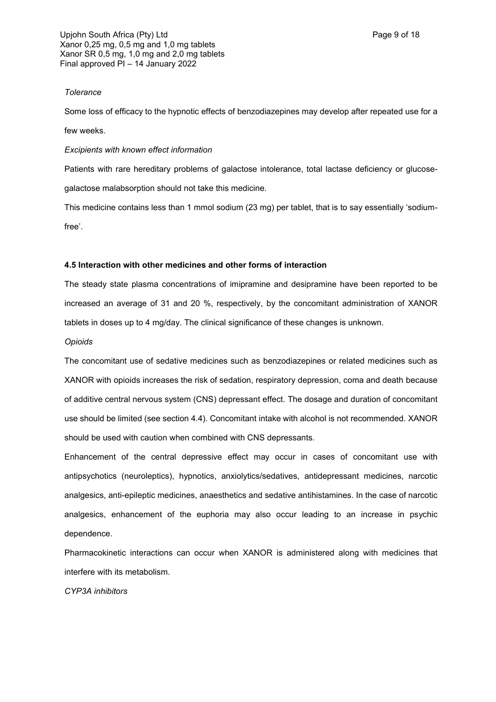### *Tolerance*

Some loss of efficacy to the hypnotic effects of benzodiazepines may develop after repeated use for a few weeks.

### *Excipients with known effect information*

Patients with rare hereditary problems of galactose intolerance, total lactase deficiency or glucosegalactose malabsorption should not take this medicine.

This medicine contains less than 1 mmol sodium (23 mg) per tablet, that is to say essentially 'sodiumfree'.

# **4.5 Interaction with other medicines and other forms of interaction**

The steady state plasma concentrations of imipramine and desipramine have been reported to be increased an average of 31 and 20 %, respectively, by the concomitant administration of XANOR tablets in doses up to 4 mg/day. The clinical significance of these changes is unknown.

## *Opioids*

The concomitant use of sedative medicines such as benzodiazepines or related medicines such as XANOR with opioids increases the risk of sedation, respiratory depression, coma and death because of additive central nervous system (CNS) depressant effect. The dosage and duration of concomitant use should be limited (see section 4.4). Concomitant intake with alcohol is not recommended. XANOR should be used with caution when combined with CNS depressants.

Enhancement of the central depressive effect may occur in cases of concomitant use with antipsychotics (neuroleptics), hypnotics, anxiolytics/sedatives, antidepressant medicines, narcotic analgesics, anti-epileptic medicines, anaesthetics and sedative antihistamines. In the case of narcotic analgesics, enhancement of the euphoria may also occur leading to an increase in psychic dependence.

Pharmacokinetic interactions can occur when XANOR is administered along with medicines that interfere with its metabolism.

*CYP3A inhibitors*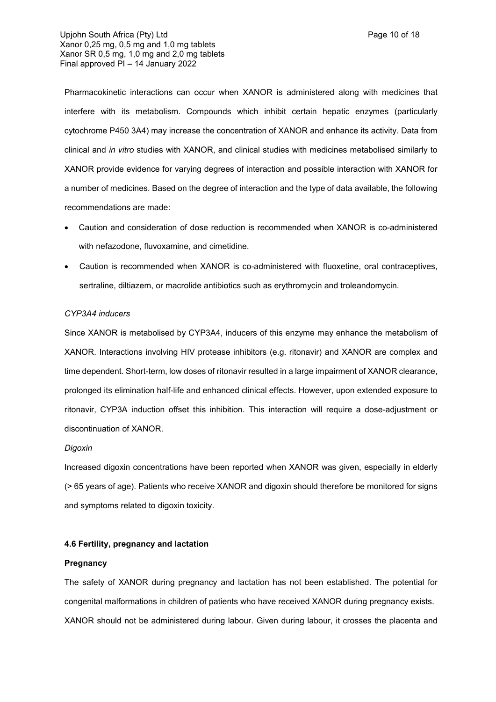Pharmacokinetic interactions can occur when XANOR is administered along with medicines that interfere with its metabolism. Compounds which inhibit certain hepatic enzymes (particularly cytochrome P450 3A4) may increase the concentration of XANOR and enhance its activity. Data from clinical and *in vitro* studies with XANOR, and clinical studies with medicines metabolised similarly to XANOR provide evidence for varying degrees of interaction and possible interaction with XANOR for a number of medicines. Based on the degree of interaction and the type of data available, the following recommendations are made:

- Caution and consideration of dose reduction is recommended when XANOR is co-administered with nefazodone, fluvoxamine, and cimetidine.
- Caution is recommended when XANOR is co-administered with fluoxetine, oral contraceptives, sertraline, diltiazem, or macrolide antibiotics such as erythromycin and troleandomycin.

## *CYP3A4 inducers*

Since XANOR is metabolised by CYP3A4, inducers of this enzyme may enhance the metabolism of XANOR. Interactions involving HIV protease inhibitors (e.g. ritonavir) and XANOR are complex and time dependent. Short-term, low doses of ritonavir resulted in a large impairment of XANOR clearance, prolonged its elimination half-life and enhanced clinical effects. However, upon extended exposure to ritonavir, CYP3A induction offset this inhibition. This interaction will require a dose-adjustment or discontinuation of XANOR.

### *Digoxin*

Increased digoxin concentrations have been reported when XANOR was given, especially in elderly (> 65 years of age). Patients who receive XANOR and digoxin should therefore be monitored for signs and symptoms related to digoxin toxicity.

## **4.6 Fertility, pregnancy and lactation**

### **Pregnancy**

The safety of XANOR during pregnancy and lactation has not been established. The potential for congenital malformations in children of patients who have received XANOR during pregnancy exists. XANOR should not be administered during labour. Given during labour, it crosses the placenta and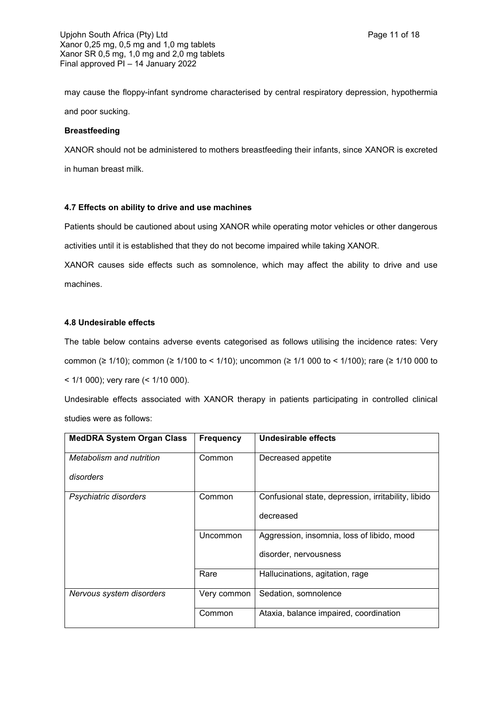may cause the floppy-infant syndrome characterised by central respiratory depression, hypothermia and poor sucking.

### **Breastfeeding**

XANOR should not be administered to mothers breastfeeding their infants, since XANOR is excreted in human breast milk.

## **4.7 Effects on ability to drive and use machines**

Patients should be cautioned about using XANOR while operating motor vehicles or other dangerous activities until it is established that they do not become impaired while taking XANOR.

XANOR causes side effects such as somnolence, which may affect the ability to drive and use

machines.

## **4.8 Undesirable effects**

The table below contains adverse events categorised as follows utilising the incidence rates: Very common (≥ 1/10); common (≥ 1/100 to < 1/10); uncommon (≥ 1/1 000 to < 1/100); rare (≥ 1/10 000 to < 1/1 000); very rare (< 1/10 000).

Undesirable effects associated with XANOR therapy in patients participating in controlled clinical studies were as follows:

| <b>MedDRA System Organ Class</b> | <b>Frequency</b> | <b>Undesirable effects</b>                          |
|----------------------------------|------------------|-----------------------------------------------------|
| Metabolism and nutrition         | Common           | Decreased appetite                                  |
| disorders                        |                  |                                                     |
| Psychiatric disorders            | Common           | Confusional state, depression, irritability, libido |
|                                  |                  | decreased                                           |
|                                  | Uncommon         | Aggression, insomnia, loss of libido, mood          |
|                                  |                  | disorder, nervousness                               |
|                                  | Rare             | Hallucinations, agitation, rage                     |
| Nervous system disorders         | Very common      | Sedation, somnolence                                |
|                                  | Common           | Ataxia, balance impaired, coordination              |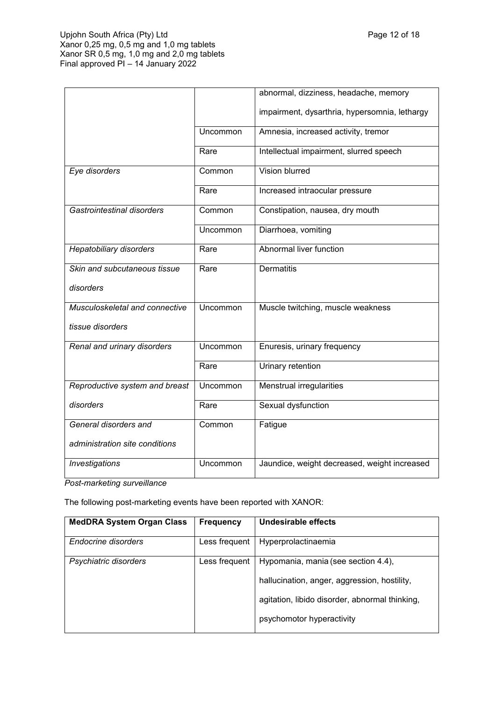|                                |          | abnormal, dizziness, headache, memory         |
|--------------------------------|----------|-----------------------------------------------|
|                                |          | impairment, dysarthria, hypersomnia, lethargy |
|                                | Uncommon | Amnesia, increased activity, tremor           |
|                                | Rare     | Intellectual impairment, slurred speech       |
| Eye disorders                  | Common   | Vision blurred                                |
|                                | Rare     | Increased intraocular pressure                |
| Gastrointestinal disorders     | Common   | Constipation, nausea, dry mouth               |
|                                | Uncommon | Diarrhoea, vomiting                           |
| <b>Hepatobiliary disorders</b> | Rare     | Abnormal liver function                       |
| Skin and subcutaneous tissue   | Rare     | <b>Dermatitis</b>                             |
| disorders                      |          |                                               |
| Musculoskeletal and connective | Uncommon | Muscle twitching, muscle weakness             |
| tissue disorders               |          |                                               |
| Renal and urinary disorders    | Uncommon | Enuresis, urinary frequency                   |
|                                | Rare     | Urinary retention                             |
| Reproductive system and breast | Uncommon | Menstrual irregularities                      |
| disorders                      | Rare     | Sexual dysfunction                            |
| General disorders and          | Common   | Fatigue                                       |
| administration site conditions |          |                                               |
| Investigations                 | Uncommon | Jaundice, weight decreased, weight increased  |

*Post-marketing surveillance*

The following post-marketing events have been reported with XANOR:

| <b>MedDRA System Organ Class</b> | <b>Frequency</b> | Undesirable effects                            |
|----------------------------------|------------------|------------------------------------------------|
|                                  |                  |                                                |
| Endocrine disorders              | Less frequent    | Hyperprolactinaemia                            |
|                                  |                  |                                                |
| Psychiatric disorders            | Less frequent    | Hypomania, mania (see section 4.4),            |
|                                  |                  |                                                |
|                                  |                  | hallucination, anger, aggression, hostility,   |
|                                  |                  |                                                |
|                                  |                  | agitation, libido disorder, abnormal thinking, |
|                                  |                  |                                                |
|                                  |                  | psychomotor hyperactivity                      |
|                                  |                  |                                                |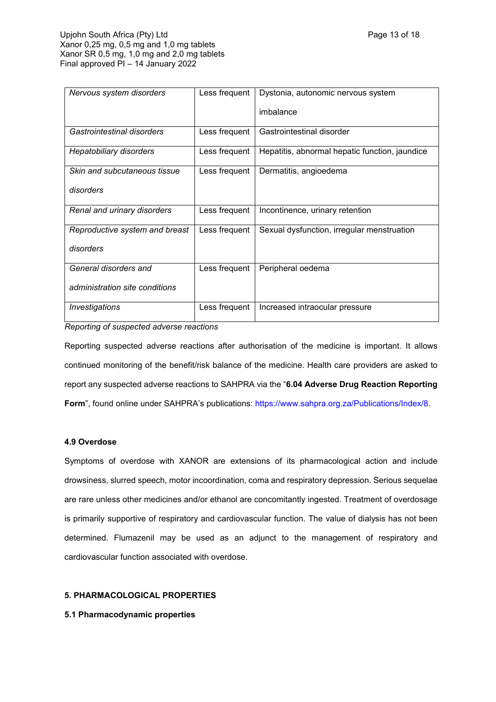| Nervous system disorders       | Less frequent | Dystonia, autonomic nervous system             |
|--------------------------------|---------------|------------------------------------------------|
|                                |               | imbalance                                      |
| Gastrointestinal disorders     | Less frequent | Gastrointestinal disorder                      |
| <b>Hepatobiliary disorders</b> | Less frequent | Hepatitis, abnormal hepatic function, jaundice |
| Skin and subcutaneous tissue   | Less frequent | Dermatitis, angioedema                         |
| disorders                      |               |                                                |
| Renal and urinary disorders    | Less frequent | Incontinence, urinary retention                |
| Reproductive system and breast | Less frequent | Sexual dysfunction, irregular menstruation     |
| disorders                      |               |                                                |
| General disorders and          | Less frequent | Peripheral oedema                              |
| administration site conditions |               |                                                |
| Investigations                 | Less frequent | Increased intraocular pressure                 |

*Reporting of suspected adverse reactions*

Reporting suspected adverse reactions after authorisation of the medicine is important. It allows continued monitoring of the benefit/risk balance of the medicine. Health care providers are asked to report any suspected adverse reactions to SAHPRA via the "**6.04 Adverse Drug Reaction Reporting Form**", found online under SAHPRA's publications:<https://www.sahpra.org.za/Publications/Index/8>.

## **4.9 Overdose**

Symptoms of overdose with XANOR are extensions of its pharmacological action and include drowsiness, slurred speech, motor incoordination, coma and respiratory depression. Serious sequelae are rare unless other medicines and/or ethanol are concomitantly ingested. Treatment of overdosage is primarily supportive of respiratory and cardiovascular function. The value of dialysis has not been determined. Flumazenil may be used as an adjunct to the management of respiratory and cardiovascular function associated with overdose.

## **5. PHARMACOLOGICAL PROPERTIES**

## **5.1 Pharmacodynamic properties**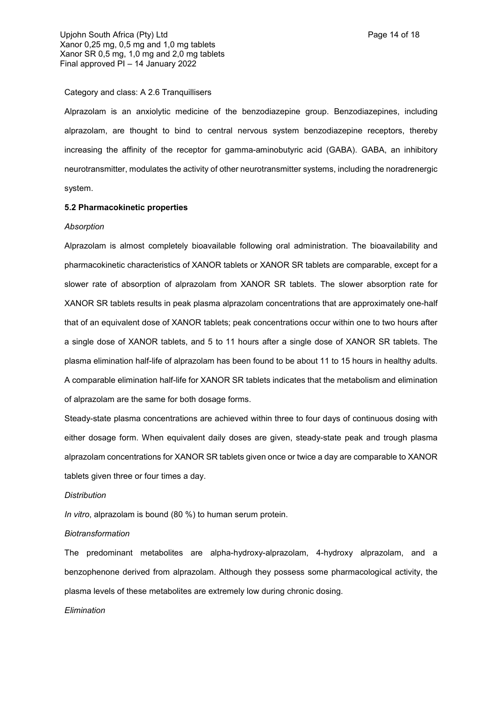#### Category and class: A 2.6 Tranquillisers

Alprazolam is an anxiolytic medicine of the benzodiazepine group. Benzodiazepines, including alprazolam, are thought to bind to central nervous system benzodiazepine receptors, thereby increasing the affinity of the receptor for gamma-aminobutyric acid (GABA). GABA, an inhibitory neurotransmitter, modulates the activity of other neurotransmitter systems, including the noradrenergic system.

#### **5.2 Pharmacokinetic properties**

#### *Absorption*

Alprazolam is almost completely bioavailable following oral administration. The bioavailability and pharmacokinetic characteristics of XANOR tablets or XANOR SR tablets are comparable, except for a slower rate of absorption of alprazolam from XANOR SR tablets. The slower absorption rate for XANOR SR tablets results in peak plasma alprazolam concentrations that are approximately one-half that of an equivalent dose of XANOR tablets; peak concentrations occur within one to two hours after a single dose of XANOR tablets, and 5 to 11 hours after a single dose of XANOR SR tablets. The plasma elimination half-life of alprazolam has been found to be about 11 to 15 hours in healthy adults. A comparable elimination half-life for XANOR SR tablets indicates that the metabolism and elimination of alprazolam are the same for both dosage forms.

Steady-state plasma concentrations are achieved within three to four days of continuous dosing with either dosage form. When equivalent daily doses are given, steady-state peak and trough plasma alprazolam concentrations for XANOR SR tablets given once or twice a day are comparable to XANOR tablets given three or four times a day.

#### *Distribution*

*In vitro*, alprazolam is bound (80 %) to human serum protein.

#### *Biotransformation*

The predominant metabolites are alpha-hydroxy-alprazolam, 4-hydroxy alprazolam, and a benzophenone derived from alprazolam. Although they possess some pharmacological activity, the plasma levels of these metabolites are extremely low during chronic dosing.

#### *Elimination*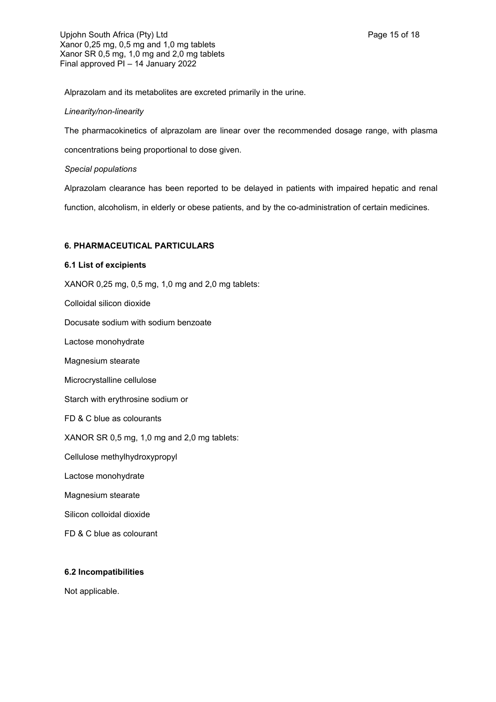Upjohn South Africa (Pty) Ltd **Page 15 of 18** Xanor 0,25 mg, 0,5 mg and 1,0 mg tablets Xanor SR 0,5 mg, 1,0 mg and 2,0 mg tablets Final approved PI – 14 January 2022

Alprazolam and its metabolites are excreted primarily in the urine.

### *Linearity/non-linearity*

The pharmacokinetics of alprazolam are linear over the recommended dosage range, with plasma

concentrations being proportional to dose given.

### *Special populations*

Alprazolam clearance has been reported to be delayed in patients with impaired hepatic and renal

function, alcoholism, in elderly or obese patients, and by the co-administration of certain medicines.

## **6. PHARMACEUTICAL PARTICULARS**

## **6.1 List of excipients**

XANOR 0,25 mg, 0,5 mg, 1,0 mg and 2,0 mg tablets:

Colloidal silicon dioxide

Docusate sodium with sodium benzoate

Lactose monohydrate

Magnesium stearate

Microcrystalline cellulose

Starch with erythrosine sodium or

FD & C blue as colourants

XANOR SR 0,5 mg, 1,0 mg and 2,0 mg tablets:

Cellulose methylhydroxypropyl

Lactose monohydrate

Magnesium stearate

Silicon colloidal dioxide

FD & C blue as colourant

### **6.2 Incompatibilities**

Not applicable.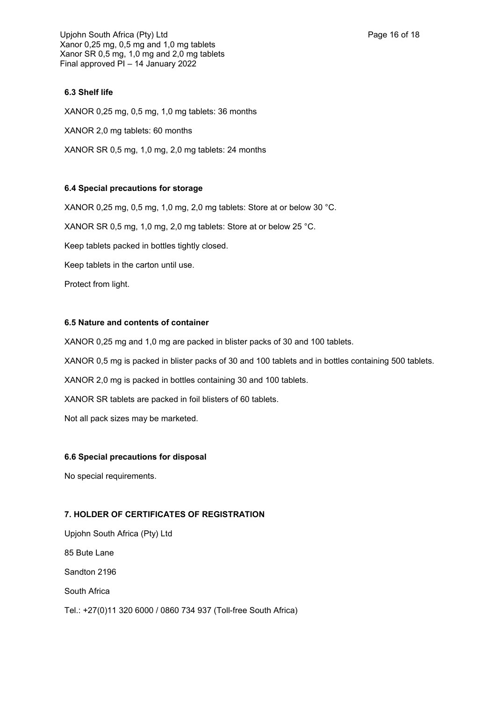Upjohn South Africa (Pty) Ltd **Page 16 of 18** Xanor 0,25 mg, 0,5 mg and 1,0 mg tablets Xanor SR 0,5 mg, 1,0 mg and 2,0 mg tablets Final approved PI – 14 January 2022

# **6.3 Shelf life**

XANOR 0,25 mg, 0,5 mg, 1,0 mg tablets: 36 months

XANOR 2,0 mg tablets: 60 months

XANOR SR 0,5 mg, 1,0 mg, 2,0 mg tablets: 24 months

# **6.4 Special precautions for storage**

XANOR 0,25 mg, 0,5 mg, 1,0 mg, 2,0 mg tablets: Store at or below 30 °C. XANOR SR 0,5 mg, 1,0 mg, 2,0 mg tablets: Store at or below 25 °C. Keep tablets packed in bottles tightly closed. Keep tablets in the carton until use. Protect from light.

# **6.5 Nature and contents of container**

XANOR 0,25 mg and 1,0 mg are packed in blister packs of 30 and 100 tablets.

XANOR 0,5 mg is packed in blister packs of 30 and 100 tablets and in bottles containing 500 tablets.

XANOR 2,0 mg is packed in bottles containing 30 and 100 tablets.

XANOR SR tablets are packed in foil blisters of 60 tablets.

Not all pack sizes may be marketed.

## **6.6 Special precautions for disposal**

No special requirements.

# **7. HOLDER OF CERTIFICATES OF REGISTRATION**

Upjohn South Africa (Pty) Ltd 85 Bute Lane Sandton 2196 South Africa Tel.: +27(0)11 320 6000 / 0860 734 937 (Toll-free South Africa)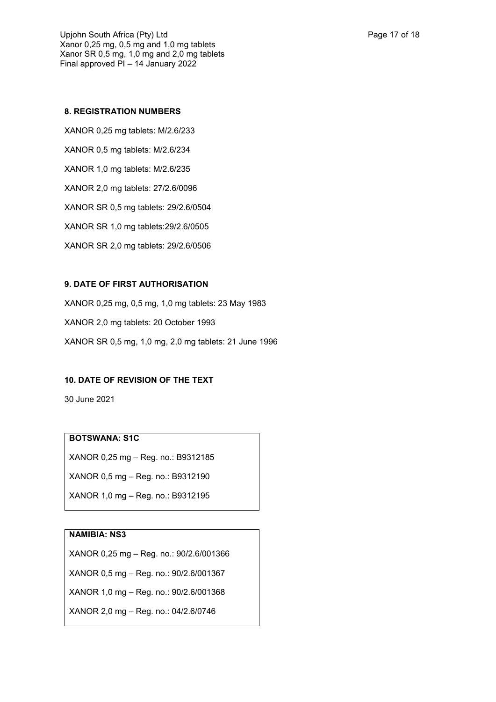Upjohn South Africa (Pty) Ltd **Page 17 of 18** Xanor 0,25 mg, 0,5 mg and 1,0 mg tablets Xanor SR 0,5 mg, 1,0 mg and 2,0 mg tablets Final approved PI – 14 January 2022

### **8. REGISTRATION NUMBERS**

XANOR 0,25 mg tablets: M/2.6/233 XANOR 0,5 mg tablets: M/2.6/234 XANOR 1,0 mg tablets: M/2.6/235 XANOR 2,0 mg tablets: 27/2.6/0096 XANOR SR 0,5 mg tablets: 29/2.6/0504 XANOR SR 1,0 mg tablets:29/2.6/0505 XANOR SR 2,0 mg tablets: 29/2.6/0506

## **9. DATE OF FIRST AUTHORISATION**

XANOR 0,25 mg, 0,5 mg, 1,0 mg tablets: 23 May 1983

XANOR 2,0 mg tablets: 20 October 1993

XANOR SR 0,5 mg, 1,0 mg, 2,0 mg tablets: 21 June 1996

# **10. DATE OF REVISION OF THE TEXT**

30 June 2021

# **BOTSWANA: S1C**

XANOR 0,25 mg – Reg. no.: B9312185

XANOR 0,5 mg – Reg. no.: B9312190

XANOR 1,0 mg – Reg. no.: B9312195

# **NAMIBIA: NS3**

XANOR 0,25 mg – Reg. no.: 90/2.6/001366

XANOR 0,5 mg – Reg. no.: 90/2.6/001367

XANOR 1,0 mg – Reg. no.: 90/2.6/001368

XANOR 2,0 mg – Reg. no.: 04/2.6/0746